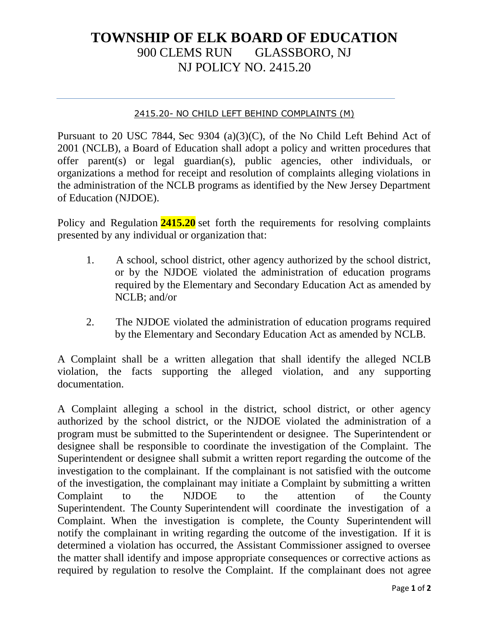## **TOWNSHIP OF ELK BOARD OF EDUCATION** 900 CLEMS RUN GLASSBORO, NJ NJ POLICY NO. 2415.20

## 2415.20- NO CHILD LEFT BEHIND COMPLAINTS (M)

Pursuant to 20 USC 7844, Sec 9304 (a)(3)(C), of the No Child Left Behind Act of 2001 (NCLB), a Board of Education shall adopt a policy and written procedures that offer parent(s) or legal guardian(s), public agencies, other individuals, or organizations a method for receipt and resolution of complaints alleging violations in the administration of the NCLB programs as identified by the New Jersey Department of Education (NJDOE).

Policy and Regulation **2415.20** set forth the requirements for resolving complaints presented by any individual or organization that:

- 1. A school, school district, other agency authorized by the school district, or by the NJDOE violated the administration of education programs required by the Elementary and Secondary Education Act as amended by NCLB; and/or
- 2. The NJDOE violated the administration of education programs required by the Elementary and Secondary Education Act as amended by NCLB.

A Complaint shall be a written allegation that shall identify the alleged NCLB violation, the facts supporting the alleged violation, and any supporting documentation.

A Complaint alleging a school in the district, school district, or other agency authorized by the school district, or the NJDOE violated the administration of a program must be submitted to the Superintendent or designee. The Superintendent or designee shall be responsible to coordinate the investigation of the Complaint. The Superintendent or designee shall submit a written report regarding the outcome of the investigation to the complainant. If the complainant is not satisfied with the outcome of the investigation, the complainant may initiate a Complaint by submitting a written Complaint to the NJDOE to the attention of the County Superintendent. The County Superintendent will coordinate the investigation of a Complaint. When the investigation is complete, the County Superintendent will notify the complainant in writing regarding the outcome of the investigation. If it is determined a violation has occurred, the Assistant Commissioner assigned to oversee the matter shall identify and impose appropriate consequences or corrective actions as required by regulation to resolve the Complaint. If the complainant does not agree